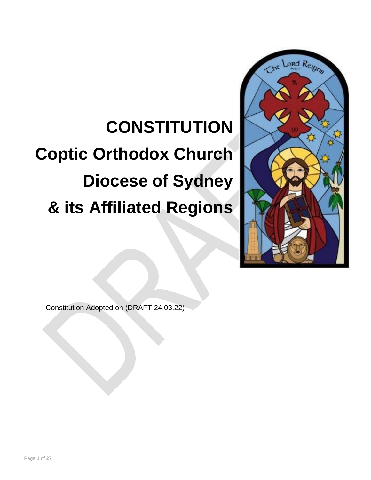# **CONSTITUTION Coptic Orthodox Church Diocese of Sydney & its Affiliated Regions**



Constitution Adopted on (DRAFT 24.03.22)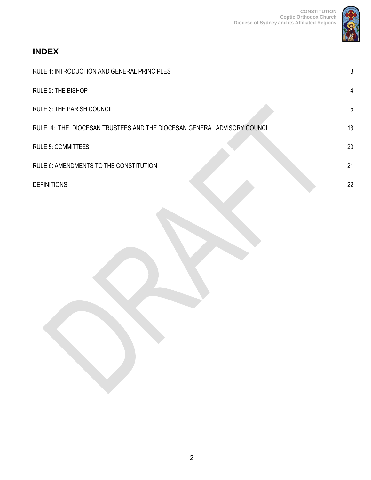

# **INDEX**

| RULE 1: INTRODUCTION AND GENERAL PRINCIPLES                             | 3              |
|-------------------------------------------------------------------------|----------------|
| RULE 2: THE BISHOP                                                      | $\overline{4}$ |
| <b>RULE 3: THE PARISH COUNCIL</b>                                       | 5              |
| RULE 4: THE DIOCESAN TRUSTEES AND THE DIOCESAN GENERAL ADVISORY COUNCIL | 13             |
| <b>RULE 5: COMMITTEES</b>                                               | 20             |
| RULE 6: AMENDMENTS TO THE CONSTITUTION                                  | 21             |
| <b>DEFINITIONS</b>                                                      | 22             |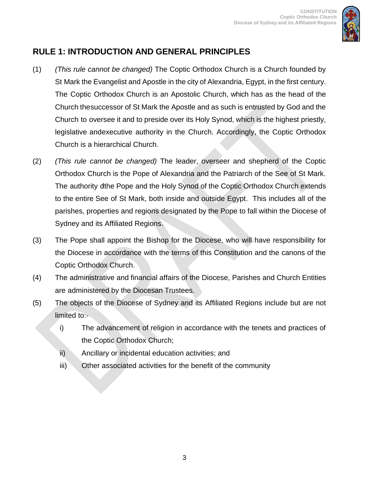

# <span id="page-2-0"></span>**RULE 1: INTRODUCTION AND GENERAL PRINCIPLES**

- (1) *(This rule cannot be changed)* The Coptic Orthodox Church is a Church founded by St Mark the Evangelist and Apostle in the city of Alexandria, Egypt, in the first century. The Coptic Orthodox Church is an Apostolic Church, which has as the head of the Church the successor of St Mark the Apostle and as such is entrusted by God and the Church to oversee it and to preside over its Holy Synod, which is the highest priestly, legislative andexecutive authority in the Church. Accordingly, the Coptic Orthodox Church is a hierarchical Church.
- (2) *(This rule cannot be changed)* The leader, overseer and shepherd of the Coptic Orthodox Church is the Pope of Alexandria and the Patriarch of the See of St Mark. The authority ofthe Pope and the Holy Synod of the Coptic Orthodox Church extends to the entire See of St Mark, both inside and outside Egypt. This includes all of the parishes, properties and regions designated by the Pope to fall within the Diocese of Sydney and its Affiliated Regions.
- (3) The Pope shall appoint the Bishop for the Diocese, who will have responsibility for the Diocese in accordance with the terms of this Constitution and the canons of the Coptic Orthodox Church.
- (4) The administrative and financial affairs of the Diocese, Parishes and Church Entities are administered by the Diocesan Trustees.
- (5) The objects of the Diocese of Sydney and its Affiliated Regions include but are not limited to:
	- i) The advancement of religion in accordance with the tenets and practices of the Coptic Orthodox Church;
	- ii) Ancillary or incidental education activities; and
	- iii) Other associated activities for the benefit of the community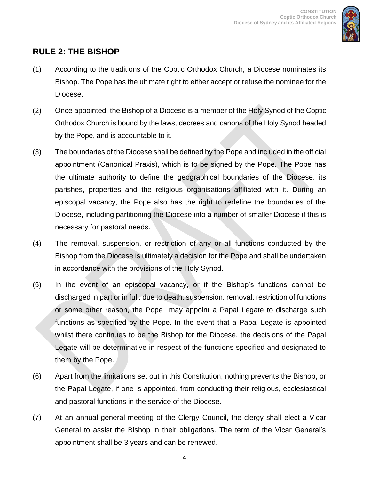

## <span id="page-3-0"></span>**RULE 2: THE BISHOP**

- (1) According to the traditions of the Coptic Orthodox Church, a Diocese nominates its Bishop. The Pope has the ultimate right to either accept or refuse the nominee for the Diocese.
- (2) Once appointed, the Bishop of a Diocese is a member of the Holy Synod of the Coptic Orthodox Church is bound by the laws, decrees and canons of the Holy Synod headed by the Pope, and is accountable to it.
- (3) The boundaries of the Diocese shall be defined by the Pope and included in the official appointment (Canonical Praxis), which is to be signed by the Pope. The Pope has the ultimate authority to define the geographical boundaries of the Diocese, its parishes, properties and the religious organisations affiliated with it. During an episcopal vacancy, the Pope also has the right to redefine the boundaries of the Diocese, including partitioning the Diocese into a number of smaller Diocese if this is necessary for pastoral needs.
- (4) The removal, suspension, or restriction of any or all functions conducted by the Bishop from the Diocese is ultimately a decision for the Pope and shall be undertaken in accordance with the provisions of the Holy Synod.
- (5) In the event of an episcopal vacancy, or if the Bishop's functions cannot be discharged in part or in full, due to death, suspension, removal, restriction of functions or some other reason, the Pope may appoint a Papal Legate to discharge such functions as specified by the Pope. In the event that a Papal Legate is appointed whilst there continues to be the Bishop for the Diocese, the decisions of the Papal Legate will be determinative in respect of the functions specified and designated to them by the Pope.
- (6) Apart from the limitations set out in this Constitution, nothing prevents the Bishop, or the Papal Legate, if one is appointed, from conducting their religious, ecclesiastical and pastoral functions in the service of the Diocese.
- (7) At an annual general meeting of the Clergy Council, the clergy shall elect a Vicar General to assist the Bishop in their obligations. The term of the Vicar General's appointment shall be 3 years and can be renewed.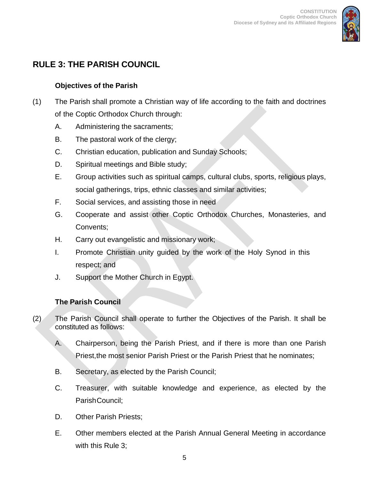

# <span id="page-4-0"></span>**RULE 3: THE PARISH COUNCIL**

#### **Objectives of the Parish**

- (1) The Parish shall promote a Christian way of life according to the faith and doctrines of the Coptic Orthodox Church through:
	- A. Administering the sacraments;
	- B. The pastoral work of the clergy;
	- C. Christian education, publication and Sunday Schools;
	- D. Spiritual meetings and Bible study;
	- E. Group activities such as spiritual camps, cultural clubs, sports, religious plays, social gatherings, trips, ethnic classes and similar activities;
	- F. Social services, and assisting those in need
	- G. Cooperate and assist other Coptic Orthodox Churches, Monasteries, and Convents;
	- H. Carry out evangelistic and missionary work;
	- I. Promote Christian unity guided by the work of the Holy Synod in this respect; and
	- J. Support the Mother Church in Egypt.

## **The Parish Council**

- (2) The Parish Council shall operate to further the Objectives of the Parish. It shall be constituted as follows:
	- A. Chairperson, being the Parish Priest, and if there is more than one Parish Priest,the most senior Parish Priest or the Parish Priest that he nominates;
	- B. Secretary, as elected by the Parish Council;
	- C. Treasurer, with suitable knowledge and experience, as elected by the Parish Council:
	- D. Other Parish Priests;
	- E. Other members elected at the Parish Annual General Meeting in accordance with this Rule 3;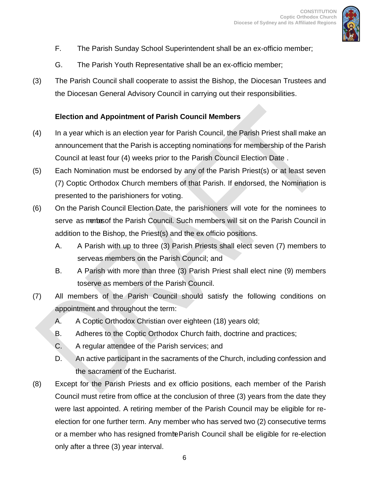

- F. The Parish Sunday School Superintendent shall be an ex-officio member;
- G. The Parish Youth Representative shall be an ex-officio member;
- (3) The Parish Council shall cooperate to assist the Bishop, the Diocesan Trustees and the Diocesan General Advisory Council in carrying out their responsibilities.

#### **Election and Appointment of Parish Council Members**

- (4) In a year which is an election year for Parish Council, the Parish Priest shall make an announcement that the Parish is accepting nominations for membership of the Parish Council at least four (4) weeks prior to the Parish Council Election Date .
- (5) Each Nomination must be endorsed by any of the Parish Priest(s) or at least seven (7) Coptic Orthodox Church members of that Parish. If endorsed, the Nomination is presented to the parishioners for voting.
- (6) On the Parish Council Election Date, the parishioners will vote for the nominees to serve as members the Parish Council. Such members will sit on the Parish Council in addition to the Bishop, the Priest(s) and the ex officio positions.
	- A. A Parish with up to three (3) Parish Priests shall elect seven (7) members to serveas members on the Parish Council; and
	- B. A Parish with more than three (3) Parish Priest shall elect nine (9) members toserve as members of the Parish Council.
- (7) All members of the Parish Council should satisfy the following conditions on appointment and throughout the term:
	- A. A Coptic Orthodox Christian over eighteen (18) years old;
	- B. Adheres to the Coptic Orthodox Church faith, doctrine and practices;
	- C. A regular attendee of the Parish services; and
	- D. An active participant in the sacraments of the Church, including confession and the sacrament of the Eucharist.
- (8) Except for the Parish Priests and ex officio positions, each member of the Parish Council must retire from office at the conclusion of three (3) years from the date they were last appointed. A retiring member of the Parish Council may be eligible for reelection for one further term. Any member who has served two (2) consecutive terms or a member who has resigned fromte Parish Council shall be eligible for re-election only after a three (3) year interval.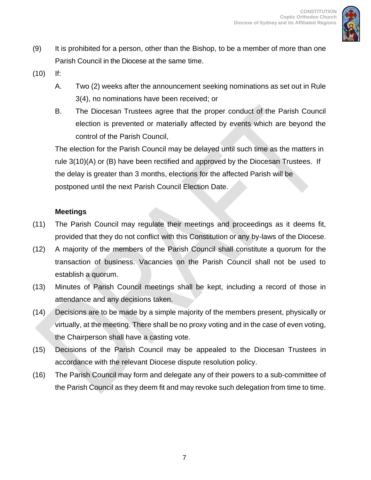

- (9) It is prohibited for a person, other than the Bishop, to be a member of more than one Parish Council in the Diocese at the same time.
- (10) If:
	- A. Two (2) weeks after the announcement seeking nominations as set out in Rule 3(4), no nominations have been received; or
	- B. The Diocesan Trustees agree that the proper conduct of the Parish Council election is prevented or materially affected by events which are beyond the control of the Parish Council,

The election for the Parish Council may be delayed until such time as the matters in rule 3(10)(A) or (B) have been rectified and approved by the Diocesan Trustees. If the delay is greater than 3 months, elections for the affected Parish will be postponed until the next Parish Council Election Date.

#### **Meetings**

- (11) The Parish Council may regulate their meetings and proceedings as it deems fit, provided that they do not conflict with this Constitution or any by-laws of the Diocese.
- (12) A majority of the members of the Parish Council shall constitute a quorum for the transaction of business. Vacancies on the Parish Council shall not be used to establish a quorum.
- (13) Minutes of Parish Council meetings shall be kept, including a record of those in attendance and any decisions taken.
- (14) Decisions are to be made by a simple majority of the members present, physically or virtually, at the meeting. There shall be no proxy voting and in the case of even voting, the Chairperson shall have a casting vote.
- (15) Decisions of the Parish Council may be appealed to the Diocesan Trustees in accordance with the relevant Diocese dispute resolution policy.
- (16) The Parish Council may form and delegate any of their powers to a sub-committee of the Parish Council as they deem fit and may revoke such delegation from time to time.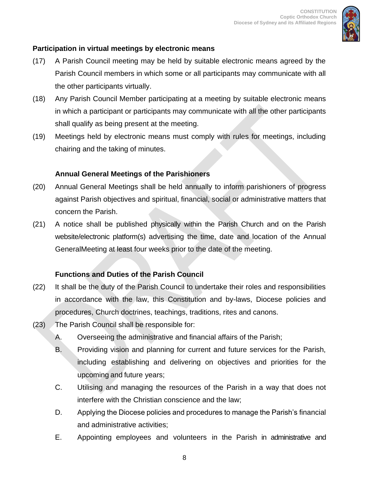

#### **Participation in virtual meetings by electronic means**

- (17) A Parish Council meeting may be held by suitable electronic means agreed by the Parish Council members in which some or all participants may communicate with all the other participants virtually.
- (18) Any Parish Council Member participating at a meeting by suitable electronic means in which a participant or participants may communicate with all the other participants shall qualify as being present at the meeting.
- (19) Meetings held by electronic means must comply with rules for meetings, including chairing and the taking of minutes.

#### **Annual General Meetings of the Parishioners**

- (20) Annual General Meetings shall be held annually to inform parishioners of progress against Parish objectives and spiritual, financial, social or administrative matters that concern the Parish.
- (21) A notice shall be published physically within the Parish Church and on the Parish website/electronic platform(s) advertising the time, date and location of the Annual GeneralMeeting at least four weeks prior to the date of the meeting.

#### **Functions and Duties of the Parish Council**

- (22) It shall be the duty of the Parish Council to undertake their roles and responsibilities in accordance with the law, this Constitution and by-laws, Diocese policies and procedures, Church doctrines, teachings, traditions, rites and canons.
- (23) The Parish Council shall be responsible for:
	- A. Overseeing the administrative and financial affairs of the Parish;
	- B. Providing vision and planning for current and future services for the Parish, including establishing and delivering on objectives and priorities for the upcoming and future years;
	- C. Utilising and managing the resources of the Parish in a way that does not interfere with the Christian conscience and the law;
	- D. Applying the Diocese policies and procedures to manage the Parish's financial and administrative activities;
	- E. Appointing employees and volunteers in the Parish in administrative and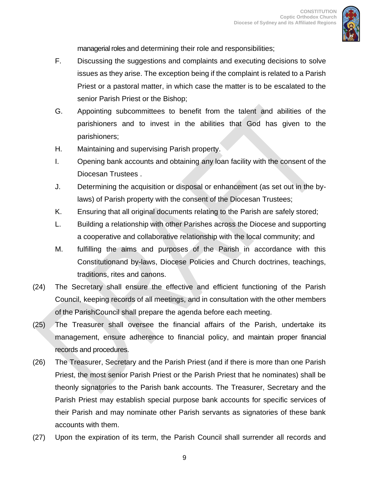

managerial roles and determining their role and responsibilities;

- F. Discussing the suggestions and complaints and executing decisions to solve issues as they arise. The exception being if the complaint is related to a Parish Priest or a pastoral matter, in which case the matter is to be escalated to the senior Parish Priest or the Bishop;
- G. Appointing subcommittees to benefit from the talent and abilities of the parishioners and to invest in the abilities that God has given to the parishioners;
- H. Maintaining and supervising Parish property.
- I. Opening bank accounts and obtaining any loan facility with the consent of the Diocesan Trustees .
- J. Determining the acquisition or disposal or enhancement (as set out in the bylaws) of Parish property with the consent of the Diocesan Trustees;
- K. Ensuring that all original documents relating to the Parish are safely stored;
- L. Building a relationship with other Parishes across the Diocese and supporting a cooperative and collaborative relationship with the local community; and
- M. fulfilling the aims and purposes of the Parish in accordance with this Constitutionand by-laws, Diocese Policies and Church doctrines, teachings, traditions, rites and canons.
- (24) The Secretary shall ensure the effective and efficient functioning of the Parish Council, keeping records of all meetings, and in consultation with the other members of the ParishCouncil shall prepare the agenda before each meeting.
- (25) The Treasurer shall oversee the financial affairs of the Parish, undertake its management, ensure adherence to financial policy, and maintain proper financial records and procedures.
- (26) The Treasurer, Secretary and the Parish Priest (and if there is more than one Parish Priest, the most senior Parish Priest or the Parish Priest that he nominates) shall be theonly signatories to the Parish bank accounts. The Treasurer, Secretary and the Parish Priest may establish special purpose bank accounts for specific services of their Parish and may nominate other Parish servants as signatories of these bank accounts with them.
- (27) Upon the expiration of its term, the Parish Council shall surrender all records and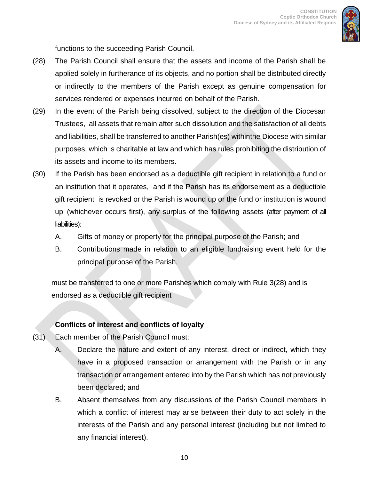

functions to the succeeding Parish Council.

- (28) The Parish Council shall ensure that the assets and income of the Parish shall be applied solely in furtherance of its objects, and no portion shall be distributed directly or indirectly to the members of the Parish except as genuine compensation for services rendered or expenses incurred on behalf of the Parish.
- (29) In the event of the Parish being dissolved, subject to the direction of the Diocesan Trustees, all assets that remain after such dissolution and the satisfaction of all debts and liabilities, shall be transferred to another Parish(es) withinthe Diocese with similar purposes, which is charitable at law and which has rules prohibiting the distribution of its assets and income to its members.
- (30) If the Parish has been endorsed as a deductible gift recipient in relation to a fund or an institution that it operates, and if the Parish has its endorsement as a deductible gift recipient is revoked or the Parish is wound up or the fund or institution is wound up (whichever occurs first), any surplus of the following assets (after payment of all liabilities):
	- A. Gifts of money or property for the principal purpose of the Parish; and
	- B. Contributions made in relation to an eligible fundraising event held for the principal purpose of the Parish,

must be transferred to one or more Parishes which comply with Rule 3(28) and is endorsed as a deductible gift recipient

#### **Conflicts of interest and conflicts of loyalty**

- (31) Each member of the Parish Council must:
	- A. Declare the nature and extent of any interest, direct or indirect, which they have in a proposed transaction or arrangement with the Parish or in any transaction or arrangement entered into by the Parish which has not previously been declared; and
	- B. Absent themselves from any discussions of the Parish Council members in which a conflict of interest may arise between their duty to act solely in the interests of the Parish and any personal interest (including but not limited to any financial interest).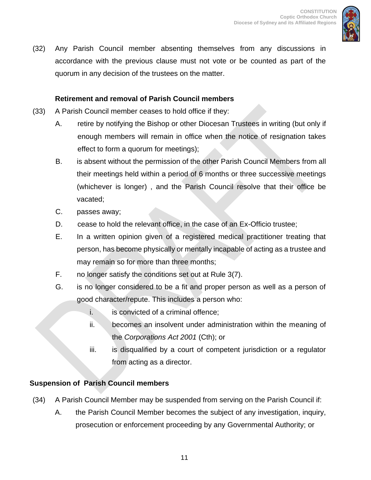

(32) Any Parish Council member absenting themselves from any discussions in accordance with the previous clause must not vote or be counted as part of the quorum in any decision of the trustees on the matter.

#### **Retirement and removal of Parish Council members**

- (33) A Parish Council member ceases to hold office if they:
	- A. retire by notifying the Bishop or other Diocesan Trustees in writing (but only if enough members will remain in office when the notice of resignation takes effect to form a quorum for meetings);
	- B. is absent without the permission of the other Parish Council Members from all their meetings held within a period of 6 months or three successive meetings (whichever is longer) , and the Parish Council resolve that their office be vacated;
	- C. passes away;
	- D. cease to hold the relevant office, in the case of an Ex-Officio trustee;
	- E. In a written opinion given of a registered medical practitioner treating that person, has become physically or mentally incapable of acting as a trustee and may remain so for more than three months;
	- F. no longer satisfy the conditions set out at Rule 3(7).
	- G. is no longer considered to be a fit and proper person as well as a person of good character/repute. This includes a person who:
		- i. is convicted of a criminal offence;
		- ii. becomes an insolvent under administration within the meaning of the *Corporations Act 2001* (Cth); or
		- iii. is disqualified by a court of competent jurisdiction or a regulator from acting as a director.

#### **Suspension of Parish Council members**

- (34) A Parish Council Member may be suspended from serving on the Parish Council if:
	- A. the Parish Council Member becomes the subject of any investigation, inquiry, prosecution or enforcement proceeding by any Governmental Authority; or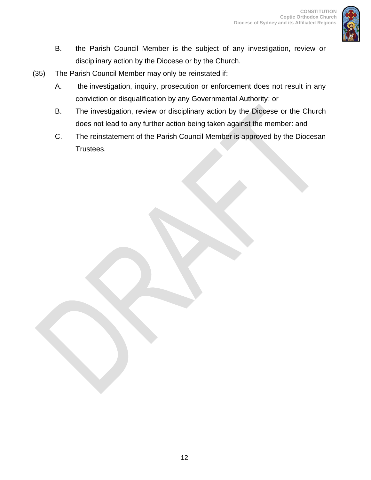

- B. the Parish Council Member is the subject of any investigation, review or disciplinary action by the Diocese or by the Church.
- (35) The Parish Council Member may only be reinstated if:
	- A. the investigation, inquiry, prosecution or enforcement does not result in any conviction or disqualification by any Governmental Authority; or
	- B. The investigation, review or disciplinary action by the Diocese or the Church does not lead to any further action being taken against the member: and
	- C. The reinstatement of the Parish Council Member is approved by the Diocesan Trustees.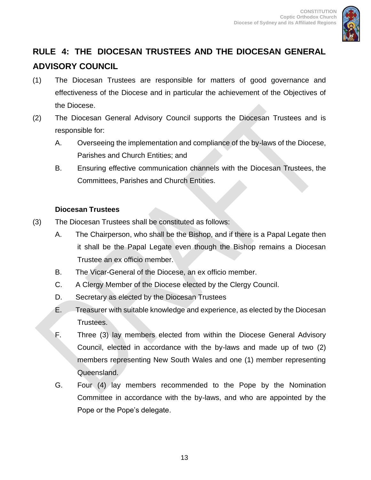

# <span id="page-12-0"></span>**RULE 4: THE DIOCESAN TRUSTEES AND THE DIOCESAN GENERAL ADVISORY COUNCIL**

- (1) The Diocesan Trustees are responsible for matters of good governance and effectiveness of the Diocese and in particular the achievement of the Objectives of the Diocese.
- (2) The Diocesan General Advisory Council supports the Diocesan Trustees and is responsible for:
	- A. Overseeing the implementation and compliance of the by-laws of the Diocese, Parishes and Church Entities; and
	- B. Ensuring effective communication channels with the Diocesan Trustees, the Committees, Parishes and Church Entities.

#### **Diocesan Trustees**

- (3) The Diocesan Trustees shall be constituted as follows:
	- A. The Chairperson, who shall be the Bishop, and if there is a Papal Legate then it shall be the Papal Legate even though the Bishop remains a Diocesan Trustee an ex officio member.
	- B. The Vicar-General of the Diocese, an ex officio member.
	- C. A Clergy Member of the Diocese elected by the Clergy Council.
	- D. Secretary as elected by the Diocesan Trustees
	- E. Treasurer with suitable knowledge and experience, as elected by the Diocesan Trustees.
	- F. Three (3) lay members elected from within the Diocese General Advisory Council, elected in accordance with the by-laws and made up of two (2) members representing New South Wales and one (1) member representing Queensland.
	- G. Four (4) lay members recommended to the Pope by the Nomination Committee in accordance with the by-laws, and who are appointed by the Pope or the Pope's delegate.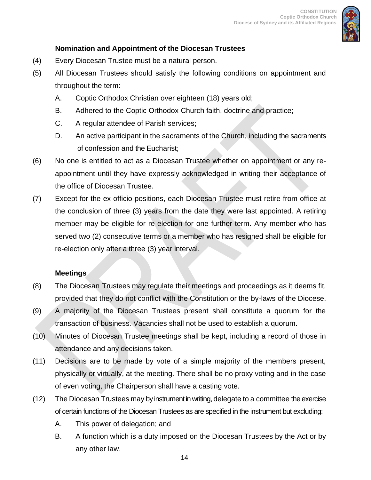

#### **Nomination and Appointment of the Diocesan Trustees**

- (4) Every Diocesan Trustee must be a natural person.
- (5) All Diocesan Trustees should satisfy the following conditions on appointment and throughout the term:
	- A. Coptic Orthodox Christian over eighteen (18) years old;
	- B. Adhered to the Coptic Orthodox Church faith, doctrine and practice;
	- C. A regular attendee of Parish services;
	- D. An active participant in the sacraments of the Church, including the sacraments of confession and the Eucharist;
- (6) No one is entitled to act as a Diocesan Trustee whether on appointment or any reappointment until they have expressly acknowledged in writing their acceptance of the office of Diocesan Trustee.
- (7) Except for the ex officio positions, each Diocesan Trustee must retire from office at the conclusion of three (3) years from the date they were last appointed. A retiring member may be eligible for re-election for one further term. Any member who has served two (2) consecutive terms or a member who has resigned shall be eligible for re-election only after a three (3) year interval.

#### **Meetings**

- (8) The Diocesan Trustees may regulate their meetings and proceedings as it deems fit, provided that they do not conflict with the Constitution or the by-laws of the Diocese.
- (9) A majority of the Diocesan Trustees present shall constitute a quorum for the transaction of business. Vacancies shall not be used to establish a quorum.
- (10) Minutes of Diocesan Trustee meetings shall be kept, including a record of those in attendance and any decisions taken.
- (11) Decisions are to be made by vote of a simple majority of the members present, physically or virtually, at the meeting. There shall be no proxy voting and in the case of even voting, the Chairperson shall have a casting vote.
- (12) The Diocesan Trustees may by instrument in writing, delegate to a committee the exercise of certain functions of the Diocesan Trustees as are specified in the instrument but excluding:
	- A. This power of delegation; and
	- B. A function which is a duty imposed on the Diocesan Trustees by the Act or by any other law.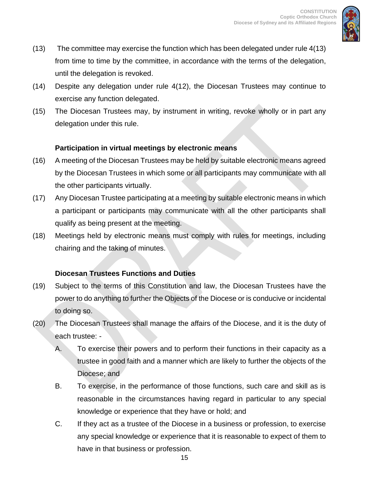

- (13) The committee may exercise the function which has been delegated under rule 4(13) from time to time by the committee, in accordance with the terms of the delegation, until the delegation is revoked.
- (14) Despite any delegation under rule 4(12), the Diocesan Trustees may continue to exercise any function delegated.
- (15) The Diocesan Trustees may, by instrument in writing, revoke wholly or in part any delegation under this rule.

#### **Participation in virtual meetings by electronic means**

- (16) A meeting of the Diocesan Trustees may be held by suitable electronic means agreed by the Diocesan Trustees in which some or all participants may communicate with all the other participants virtually.
- (17) Any Diocesan Trustee participating at a meeting by suitable electronic means in which a participant or participants may communicate with all the other participants shall qualify as being present at the meeting.
- (18) Meetings held by electronic means must comply with rules for meetings, including chairing and the taking of minutes.

#### **Diocesan Trustees Functions and Duties**

- (19) Subject to the terms of this Constitution and law, the Diocesan Trustees have the power to do anything to further the Objects of the Diocese or is conducive or incidental to doing so.
- (20) The Diocesan Trustees shall manage the affairs of the Diocese, and it is the duty of each trustee: -
	- A. To exercise their powers and to perform their functions in their capacity as a trustee in good faith and a manner which are likely to further the objects of the Diocese; and
	- B. To exercise, in the performance of those functions, such care and skill as is reasonable in the circumstances having regard in particular to any special knowledge or experience that they have or hold; and
	- C. If they act as a trustee of the Diocese in a business or profession, to exercise any special knowledge or experience that it is reasonable to expect of them to have in that business or profession.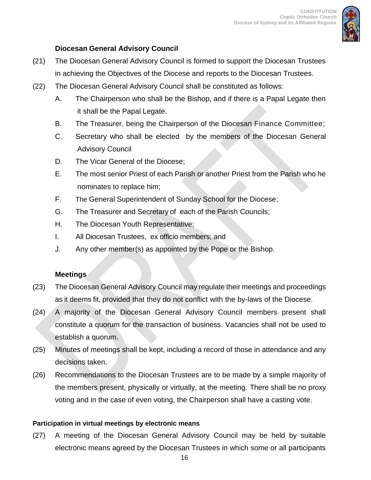

#### **Diocesan General Advisory Council**

- (21) The Diocesan General Advisory Council is formed to support the Diocesan Trustees in achieving the Objectives of the Diocese and reports to the Diocesan Trustees.
- (22) The Diocesan General Advisory Council shall be constituted as follows:
	- A. The Chairperson who shall be the Bishop, and if there is a Papal Legate then it shall be the Papal Legate.
	- B. The Treasurer, being the Chairperson of the Diocesan Finance Committee;
	- C. Secretary who shall be elected by the members of the Diocesan General Advisory Council
	- D. The Vicar General of the Diocese;
	- E. The most senior Priest of each Parish or another Priest from the Parish who he nominates to replace him;
	- F. The General Superintendent of Sunday School for the Diocese;
	- G. The Treasurer and Secretary of each of the Parish Councils;
	- H. The Diocesan Youth Representative;
	- I. All Diocesan Trustees, ex officio members; and
	- J. Any other member(s) as appointed by the Pope or the Bishop.

#### **Meetings**

- (23) The Diocesan General Advisory Council may regulate their meetings and proceedings as it deems fit, provided that they do not conflict with the by-laws of the Diocese.
- (24) A majority of the Diocesan General Advisory Council members present shall constitute a quorum for the transaction of business. Vacancies shall not be used to establish a quorum.
- (25) Minutes of meetings shall be kept, including a record of those in attendance and any decisions taken.
- (26) Recommendations to the Diocesan Trustees are to be made by a simple majority of the members present, physically or virtually, at the meeting. There shall be no proxy voting and in the case of even voting, the Chairperson shall have a casting vote.

#### **Participation in virtual meetings by electronic means**

(27) A meeting of the Diocesan General Advisory Council may be held by suitable electronic means agreed by the Diocesan Trustees in which some or all participants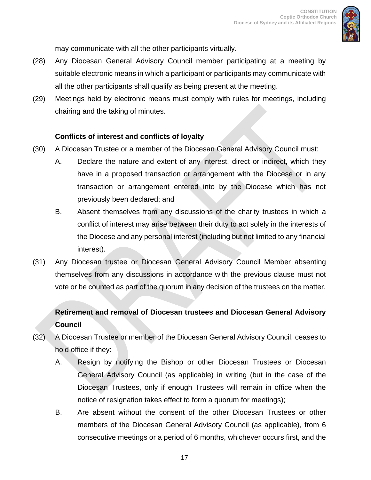

may communicate with all the other participants virtually.

- (28) Any Diocesan General Advisory Council member participating at a meeting by suitable electronic means in which a participant or participants may communicate with all the other participants shall qualify as being present at the meeting.
- (29) Meetings held by electronic means must comply with rules for meetings, including chairing and the taking of minutes.

#### **Conflicts of interest and conflicts of loyalty**

- (30) A Diocesan Trustee or a member of the Diocesan General Advisory Council must:
	- A. Declare the nature and extent of any interest, direct or indirect, which they have in a proposed transaction or arrangement with the Diocese or in any transaction or arrangement entered into by the Diocese which has not previously been declared; and
	- B. Absent themselves from any discussions of the charity trustees in which a conflict of interest may arise between their duty to act solely in the interests of the Diocese and any personal interest (including but not limited to any financial interest).
- (31) Any Diocesan trustee or Diocesan General Advisory Council Member absenting themselves from any discussions in accordance with the previous clause must not vote or be counted as part of the quorum in any decision of the trustees on the matter.

# **Retirement and removal of Diocesan trustees and Diocesan General Advisory Council**

- (32) A Diocesan Trustee or member of the Diocesan General Advisory Council, ceases to hold office if they:
	- A. Resign by notifying the Bishop or other Diocesan Trustees or Diocesan General Advisory Council (as applicable) in writing (but in the case of the Diocesan Trustees, only if enough Trustees will remain in office when the notice of resignation takes effect to form a quorum for meetings);
	- B. Are absent without the consent of the other Diocesan Trustees or other members of the Diocesan General Advisory Council (as applicable), from 6 consecutive meetings or a period of 6 months, whichever occurs first, and the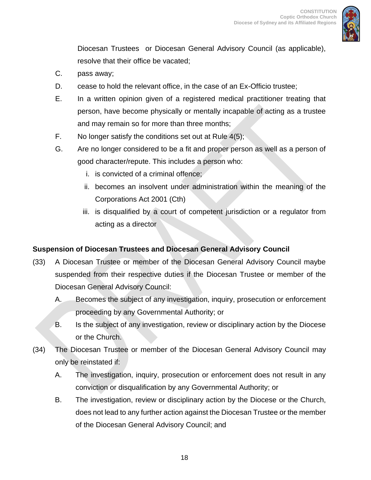

Diocesan Trustees or Diocesan General Advisory Council (as applicable), resolve that their office be vacated;

- C. pass away;
- D. cease to hold the relevant office, in the case of an Ex-Officio trustee;
- E. In a written opinion given of a registered medical practitioner treating that person, have become physically or mentally incapable of acting as a trustee and may remain so for more than three months;
- F. No longer satisfy the conditions set out at Rule 4(5);
- G. Are no longer considered to be a fit and proper person as well as a person of good character/repute. This includes a person who:
	- i. is convicted of a criminal offence;
	- ii. becomes an insolvent under administration within the meaning of the Corporations Act 2001 (Cth)
	- iii. is disqualified by a court of competent jurisdiction or a regulator from acting as a director

#### **Suspension of Diocesan Trustees and Diocesan General Advisory Council**

- (33) A Diocesan Trustee or member of the Diocesan General Advisory Council maybe suspended from their respective duties if the Diocesan Trustee or member of the Diocesan General Advisory Council:
	- A. Becomes the subject of any investigation, inquiry, prosecution or enforcement proceeding by any Governmental Authority; or
	- B. Is the subject of any investigation, review or disciplinary action by the Diocese or the Church.
- (34) The Diocesan Trustee or member of the Diocesan General Advisory Council may only be reinstated if:
	- A. The investigation, inquiry, prosecution or enforcement does not result in any conviction or disqualification by any Governmental Authority; or
	- B. The investigation, review or disciplinary action by the Diocese or the Church, does not lead to any further action against the Diocesan Trustee or the member of the Diocesan General Advisory Council; and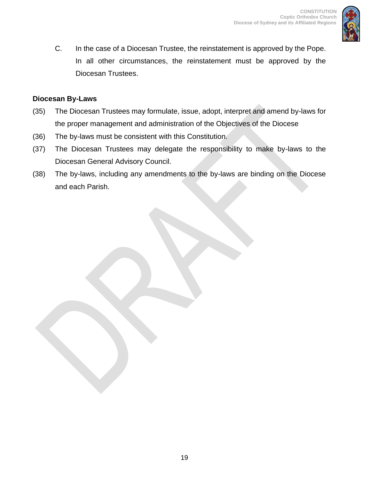

C. In the case of a Diocesan Trustee, the reinstatement is approved by the Pope. In all other circumstances, the reinstatement must be approved by the Diocesan Trustees.

#### **Diocesan By-Laws**

- (35) The Diocesan Trustees may formulate, issue, adopt, interpret and amend by-laws for the proper management and administration of the Objectives of the Diocese
- (36) The by-laws must be consistent with this Constitution.
- (37) The Diocesan Trustees may delegate the responsibility to make by-laws to the Diocesan General Advisory Council.
- (38) The by-laws, including any amendments to the by-laws are binding on the Diocese and each Parish.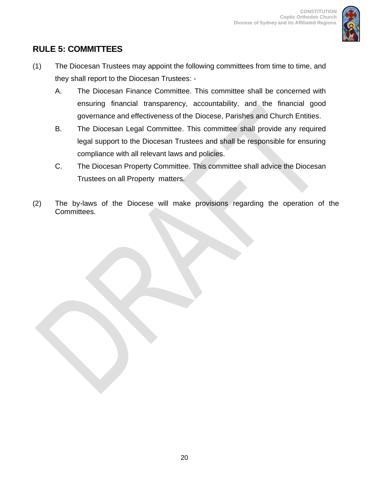

# <span id="page-19-0"></span>**RULE 5: COMMITTEES**

- (1) The Diocesan Trustees may appoint the following committees from time to time, and they shall report to the Diocesan Trustees: -
	- A. The Diocesan Finance Committee. This committee shall be concerned with ensuring financial transparency, accountability, and the financial good governance and effectiveness of the Diocese, Parishes and Church Entities.
	- B. The Diocesan Legal Committee. This committee shall provide any required legal support to the Diocesan Trustees and shall be responsible for ensuring compliance with all relevant laws and policies.
	- C. The Diocesan Property Committee. This committee shall advice the Diocesan Trustees on all Property matters.
- (2) The by-laws of the Diocese will make provisions regarding the operation of the Committees.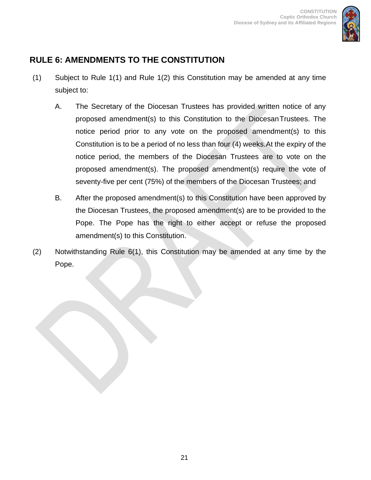

# <span id="page-20-0"></span>**RULE 6: AMENDMENTS TO THE CONSTITUTION**

- (1) Subject to Rule 1(1) and Rule 1(2) this Constitution may be amended at any time subject to:
	- A. The Secretary of the Diocesan Trustees has provided written notice of any proposed amendment(s) to this Constitution to the DiocesanTrustees. The notice period prior to any vote on the proposed amendment(s) to this Constitution is to be a period of no less than four (4) weeks. At the expiry of the notice period, the members of the Diocesan Trustees are to vote on the proposed amendment(s). The proposed amendment(s) require the vote of seventy-five per cent (75%) of the members of the Diocesan Trustees; and
	- B. After the proposed amendment(s) to this Constitution have been approved by the Diocesan Trustees, the proposed amendment(s) are to be provided to the Pope. The Pope has the right to either accept or refuse the proposed amendment(s) to this Constitution.
- (2) Notwithstanding Rule 6(1), this Constitution may be amended at any time by the Pope.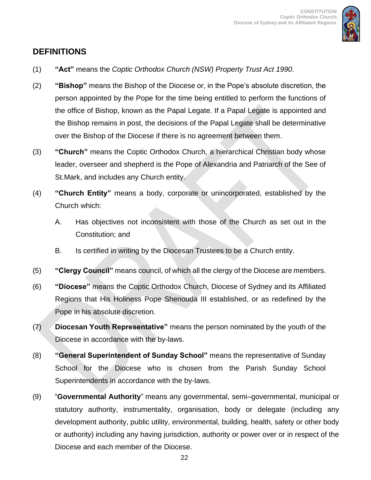

### <span id="page-21-0"></span>**DEFINITIONS**

- (1) **"Act"** means the *Coptic Orthodox Church (NSW) Property Trust Act 1990*.
- (2) **"Bishop"** means the Bishop of the Diocese or, in the Pope's absolute discretion, the person appointed by the Pope for the time being entitled to perform the functions of the office of Bishop, known as the Papal Legate. If a Papal Legate is appointed and the Bishop remains in post, the decisions of the Papal Legate shall be determinative over the Bishop of the Diocese if there is no agreement between them.
- (3) **"Church"** means the Coptic Orthodox Church, a hierarchical Christian body whose leader, overseer and shepherd is the Pope of Alexandria and Patriarch of the See of St.Mark, and includes any Church entity.
- (4) **"Church Entity"** means a body, corporate or unincorporated, established by the Church which:
	- A. Has objectives not inconsistent with those of the Church as set out in the Constitution; and
	- B. Is certified in writing by the Diocesan Trustees to be a Church entity.
- (5) **"Clergy Council"** means council, of which all the clergy of the Diocese are members.
- (6) **"Diocese"** means the Coptic Orthodox Church, Diocese of Sydney and its Affiliated Regions that His Holiness Pope Shenouda III established, or as redefined by the Pope in his absolute discretion.
- (7) **Diocesan Youth Representative"** means the person nominated by the youth of the Diocese in accordance with the by-laws.
- (8) **"General Superintendent of Sunday School"** means the representative of Sunday School for the Diocese who is chosen from the Parish Sunday School Superintendents in accordance with the by-laws.
- (9) "**Governmental Authority**" means any governmental, semi–governmental, municipal or statutory authority, instrumentality, organisation, body or delegate (including any development authority, public utility, environmental, building, health, safety or other body or authority) including any having jurisdiction, authority or power over or in respect of the Diocese and each member of the Diocese.